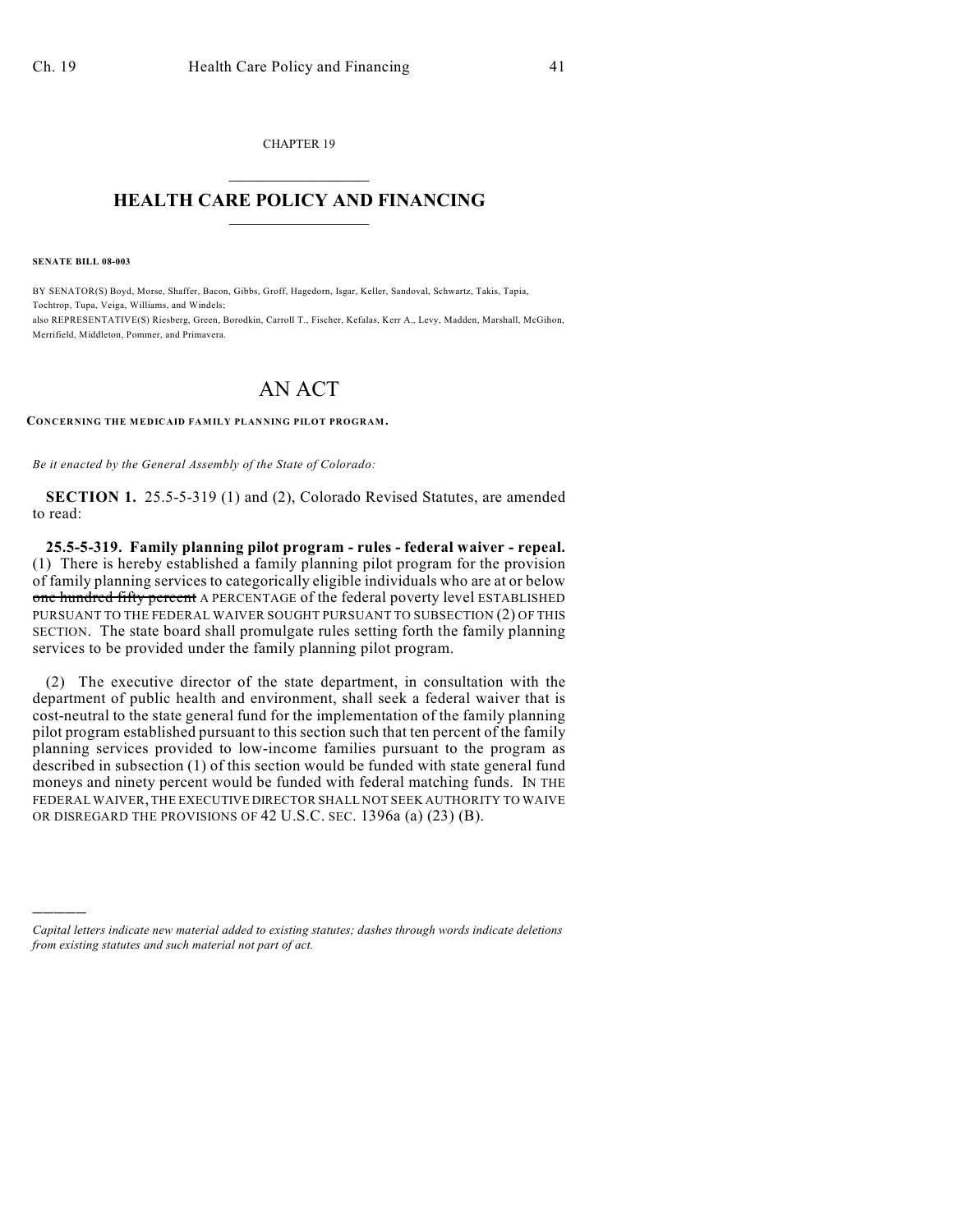CHAPTER 19  $\mathcal{L}_\text{max}$  . The set of the set of the set of the set of the set of the set of the set of the set of the set of the set of the set of the set of the set of the set of the set of the set of the set of the set of the set

## **HEALTH CARE POLICY AND FINANCING**  $\_$   $\_$   $\_$   $\_$   $\_$   $\_$   $\_$   $\_$

**SENATE BILL 08-003**

)))))

BY SENATOR(S) Boyd, Morse, Shaffer, Bacon, Gibbs, Groff, Hagedorn, Isgar, Keller, Sandoval, Schwartz, Takis, Tapia, Tochtrop, Tupa, Veiga, Williams, and Windels; also REPRESENTATIVE(S) Riesberg, Green, Borodkin, Carroll T., Fischer, Kefalas, Kerr A., Levy, Madden, Marshall, McGihon, Merrifield, Middleton, Pommer, and Primavera.

## AN ACT

**CONCERNING THE MEDICAID FAMILY PLANNING PILOT PROGRAM.**

*Be it enacted by the General Assembly of the State of Colorado:*

**SECTION 1.** 25.5-5-319 (1) and (2), Colorado Revised Statutes, are amended to read:

**25.5-5-319. Family planning pilot program - rules - federal waiver - repeal.** (1) There is hereby established a family planning pilot program for the provision of family planning services to categorically eligible individuals who are at or below one hundred fifty percent A PERCENTAGE of the federal poverty level ESTABLISHED PURSUANT TO THE FEDERAL WAIVER SOUGHT PURSUANT TO SUBSECTION (2) OF THIS SECTION. The state board shall promulgate rules setting forth the family planning services to be provided under the family planning pilot program.

(2) The executive director of the state department, in consultation with the department of public health and environment, shall seek a federal waiver that is cost-neutral to the state general fund for the implementation of the family planning pilot program established pursuant to this section such that ten percent of the family planning services provided to low-income families pursuant to the program as described in subsection (1) of this section would be funded with state general fund moneys and ninety percent would be funded with federal matching funds. IN THE FEDERAL WAIVER, THE EXECUTIVE DIRECTOR SHALL NOT SEEK AUTHORITY TO WAIVE OR DISREGARD THE PROVISIONS OF 42 U.S.C. SEC. 1396a (a) (23) (B).

*Capital letters indicate new material added to existing statutes; dashes through words indicate deletions from existing statutes and such material not part of act.*